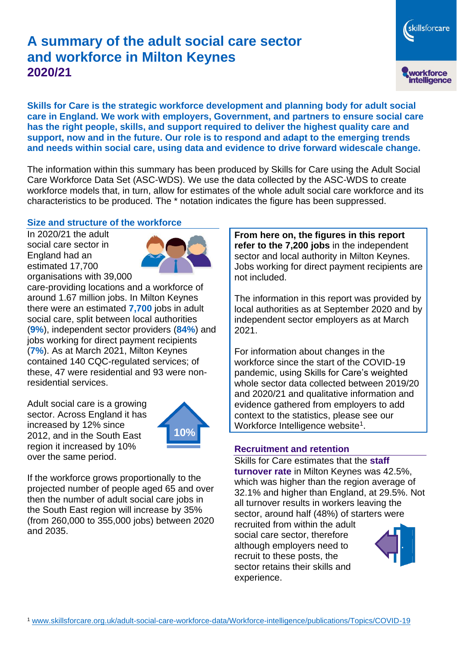# **A summary of the adult social care sector and workforce in Milton Keynes 2020/21**

skillsforcare workforce<br>intelligence

**Skills for Care is the strategic workforce development and planning body for adult social care in England. We work with employers, Government, and partners to ensure social care has the right people, skills, and support required to deliver the highest quality care and support, now and in the future. Our role is to respond and adapt to the emerging trends and needs within social care, using data and evidence to drive forward widescale change.**

The information within this summary has been produced by Skills for Care using the Adult Social Care Workforce Data Set (ASC-WDS). We use the data collected by the ASC-WDS to create workforce models that, in turn, allow for estimates of the whole adult social care workforce and its characteristics to be produced. The \* notation indicates the figure has been suppressed.

#### **Size and structure of the workforce**

In 2020/21 the adult social care sector in England had an estimated 17,700 organisations with 39,000



care-providing locations and a workforce of around 1.67 million jobs. In Milton Keynes there were an estimated **7,700** jobs in adult social care, split between local authorities (**9%**), independent sector providers (**84%**) and jobs working for direct payment recipients (**7%**). As at March 2021, Milton Keynes contained 140 CQC-regulated services; of these, 47 were residential and 93 were nonresidential services.

Adult social care is a growing sector. Across England it has increased by 12% since 2012, and in the South East region it increased by 10% over the same period.



If the workforce grows proportionally to the projected number of people aged 65 and over then the number of adult social care jobs in the South East region will increase by 35% (from 260,000 to 355,000 jobs) between 2020 and 2035.

**From here on, the figures in this report refer to the 7,200 jobs** in the independent sector and local authority in Milton Keynes. Jobs working for direct payment recipients are not included.

The information in this report was provided by local authorities as at September 2020 and by independent sector employers as at March 2021.

For information about changes in the workforce since the start of the COVID-19 pandemic, using Skills for Care's weighted whole sector data collected between 2019/20 and 2020/21 and qualitative information and evidence gathered from employers to add context to the statistics, please see our Workforce Intelligence website<sup>1</sup>.

#### **Recruitment and retention**

Skills for Care estimates that the **staff turnover rate** in Milton Keynes was 42.5%, which was higher than the region average of 32.1% and higher than England, at 29.5%. Not all turnover results in workers leaving the sector, around half (48%) of starters were recruited from within the adult

social care sector, therefore although employers need to recruit to these posts, the sector retains their skills and experience.

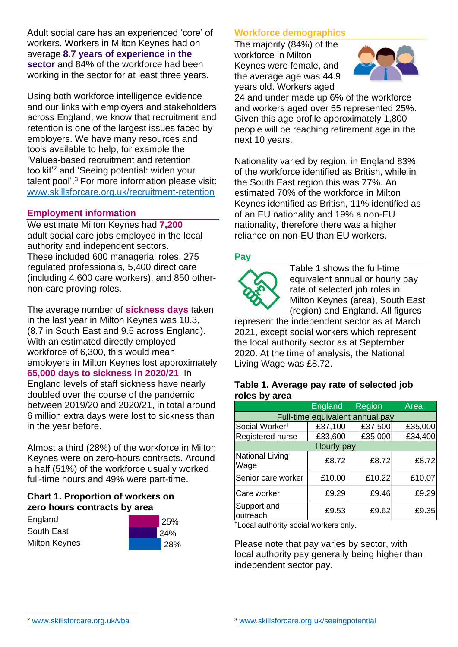Adult social care has an experienced 'core' of workers. Workers in Milton Keynes had on average **8.7 years of experience in the sector** and 84% of the workforce had been working in the sector for at least three years.

Using both workforce intelligence evidence and our links with employers and stakeholders across England, we know that recruitment and retention is one of the largest issues faced by employers. We have many resources and tools available to help, for example the 'Values-based recruitment and retention toolkit'<sup>2</sup> and 'Seeing potential: widen your talent pool'. <sup>3</sup> For more information please visit: [www.skillsforcare.org.uk/recruitment-retention](http://www.skillsforcare.org.uk/recruitment-retention)

#### **Employment information**

We estimate Milton Keynes had **7,200** adult social care jobs employed in the local authority and independent sectors. These included 600 managerial roles, 275 regulated professionals, 5,400 direct care (including 4,600 care workers), and 850 othernon-care proving roles.

The average number of **sickness days** taken in the last year in Milton Keynes was 10.3, (8.7 in South East and 9.5 across England). With an estimated directly employed workforce of 6,300, this would mean employers in Milton Keynes lost approximately **65,000 days to sickness in 2020/21**. In England levels of staff sickness have nearly doubled over the course of the pandemic between 2019/20 and 2020/21, in total around 6 million extra days were lost to sickness than in the year before.

Almost a third (28%) of the workforce in Milton Keynes were on zero-hours contracts. Around a half (51%) of the workforce usually worked full-time hours and 49% were part-time.

### **Chart 1. Proportion of workers on zero hours contracts by area**

**England** South East Milton Keynes



### **Workforce demographics**

The majority (84%) of the workforce in Milton Keynes were female, and the average age was 44.9 years old. Workers aged



24 and under made up 6% of the workforce and workers aged over 55 represented 25%. Given this age profile approximately 1,800 people will be reaching retirement age in the next 10 years.

Nationality varied by region, in England 83% of the workforce identified as British, while in the South East region this was 77%. An estimated 70% of the workforce in Milton Keynes identified as British, 11% identified as of an EU nationality and 19% a non-EU nationality, therefore there was a higher reliance on non-EU than EU workers.

### **Pay**



Table 1 shows the full-time equivalent annual or hourly pay rate of selected job roles in Milton Keynes (area), South East (region) and England. All figures

represent the independent sector as at March 2021, except social workers which represent the local authority sector as at September 2020. At the time of analysis, the National Living Wage was £8.72.

#### **Table 1. Average pay rate of selected job roles by area**

|                                 | <b>England</b> | Region  | Area    |
|---------------------------------|----------------|---------|---------|
| Full-time equivalent annual pay |                |         |         |
| Social Worker <sup>t</sup>      | £37,100        | £37,500 | £35,000 |
| Registered nurse                | £33,600        | £35,000 | £34,400 |
| Hourly pay                      |                |         |         |
| National Living<br>Wage         | £8.72          | £8.72   | £8.72   |
| Senior care worker              | £10.00         | £10.22  | £10.07  |
| Care worker                     | £9.29          | £9.46   | £9.29   |
| Support and<br>outreach         | £9.53          | £9.62   | £9.35   |

†Local authority social workers only.

Please note that pay varies by sector, with local authority pay generally being higher than independent sector pay.

[www.skillsforcare.org.uk/vba](http://www.skillsforcare.org.uk/vba)